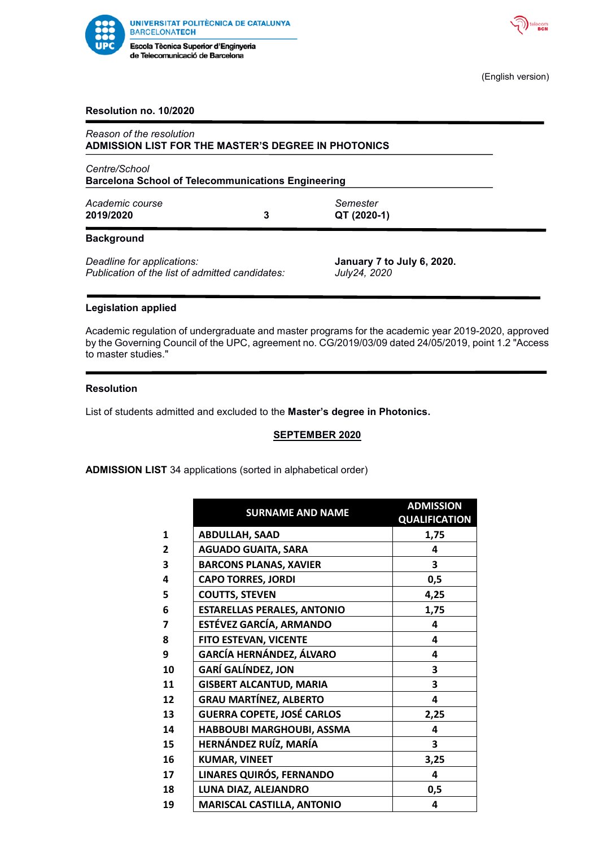



(English version)

### **Resolution no. 10/2020**

| Reason of the resolution<br>ADMISSION LIST FOR THE MASTER'S DEGREE IN PHOTONICS |   |                                            |  |  |
|---------------------------------------------------------------------------------|---|--------------------------------------------|--|--|
| Centre/School<br><b>Barcelona School of Telecommunications Engineering</b>      |   |                                            |  |  |
| Academic course<br>2019/2020                                                    | 3 | Semester<br>QT (2020-1)                    |  |  |
| <b>Background</b>                                                               |   |                                            |  |  |
| Deadline for applications:<br>Publication of the list of admitted candidates:   |   | January 7 to July 6, 2020.<br>July24, 2020 |  |  |

### **Legislation applied**

Academic regulation of undergraduate and master programs for the academic year 2019-2020, approved by the Governing Council of the UPC, agreement no. CG/2019/03/09 dated 24/05/2019, point 1.2 "Access to master studies."

### **Resolution**

List of students admitted and excluded to the **Master's degree in Photonics.**

# **SEPTEMBER 2020**

**ADMISSION LIST** 34 applications (sorted in alphabetical order)

|                | <b>SURNAME AND NAME</b>            | <b>ADMISSION</b>     |
|----------------|------------------------------------|----------------------|
|                |                                    | <b>QUALIFICATION</b> |
| 1              | <b>ABDULLAH, SAAD</b>              | 1,75                 |
| $\overline{2}$ | <b>AGUADO GUAITA, SARA</b>         | 4                    |
| 3              | <b>BARCONS PLANAS, XAVIER</b>      | 3                    |
| 4              | <b>CAPO TORRES, JORDI</b>          | 0,5                  |
| 5              | <b>COUTTS, STEVEN</b>              | 4,25                 |
| 6              | <b>ESTARELLAS PERALES, ANTONIO</b> | 1,75                 |
| 7              | <b>ESTÉVEZ GARCÍA, ARMANDO</b>     | 4                    |
| 8              | FITO ESTEVAN, VICENTE              | 4                    |
| 9              | GARCÍA HERNÁNDEZ, ÁLVARO           | 4                    |
| 10             | <b>GARÍ GALÍNDEZ, JON</b>          | 3                    |
| 11             | <b>GISBERT ALCANTUD, MARIA</b>     | 3                    |
| 12             | <b>GRAU MARTÍNEZ, ALBERTO</b>      | 4                    |
| 13             | <b>GUERRA COPETE, JOSÉ CARLOS</b>  | 2,25                 |
| 14             | HABBOUBI MARGHOUBI, ASSMA          | 4                    |
| 15             | HERNÁNDEZ RUÍZ, MARÍA              | 3                    |
| 16             | <b>KUMAR, VINEET</b>               | 3,25                 |
| 17             | LINARES QUIRÓS, FERNANDO           | 4                    |
| 18             | LUNA DIAZ, ALEJANDRO               | 0,5                  |
| 19             | <b>MARISCAL CASTILLA, ANTONIO</b>  | 4                    |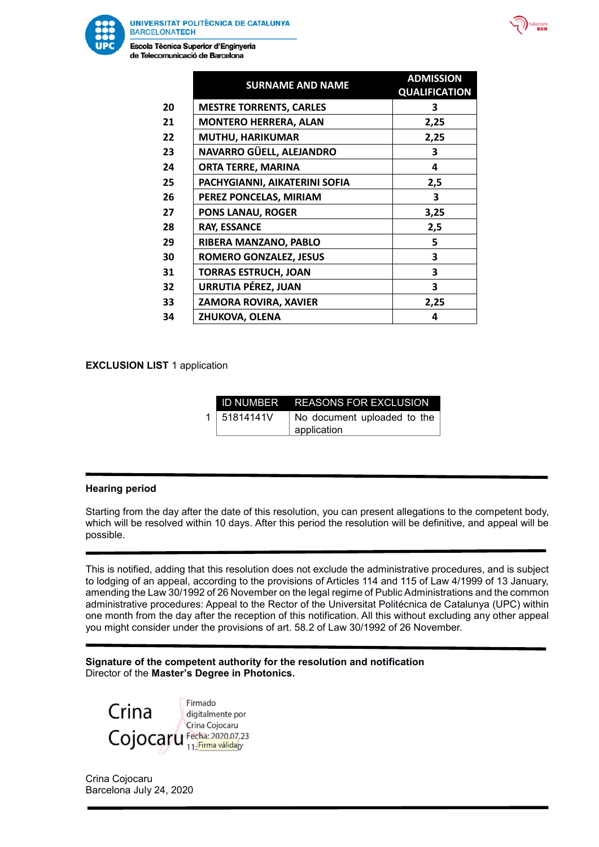

Escola Tècnica Superior d'Enginyeria de Telecomunicació de Barcelona

|    | <b>SURNAME AND NAME</b>        | <b>ADMISSION</b><br><b>QUALIFICATION</b> |
|----|--------------------------------|------------------------------------------|
| 20 | <b>MESTRE TORRENTS, CARLES</b> | 3                                        |
| 21 | <b>MONTERO HERRERA, ALAN</b>   | 2,25                                     |
| 22 | <b>MUTHU, HARIKUMAR</b>        | 2,25                                     |
| 23 | NAVARRO GÜELL, ALEJANDRO       | 3                                        |
| 24 | <b>ORTA TERRE, MARINA</b>      | 4                                        |
| 25 | PACHYGIANNI, AIKATERINI SOFIA  | 2,5                                      |
| 26 | PEREZ PONCELAS, MIRIAM         | 3                                        |
| 27 | <b>PONS LANAU, ROGER</b>       | 3,25                                     |
| 28 | <b>RAY, ESSANCE</b>            | 2,5                                      |
| 29 | RIBERA MANZANO, PABLO          | 5                                        |
| 30 | <b>ROMERO GONZALEZ, JESUS</b>  | 3                                        |
| 31 | <b>TORRAS ESTRUCH, JOAN</b>    | 3                                        |
| 32 | <b>URRUTIA PÉREZ, JUAN</b>     | 3                                        |
| 33 | ZAMORA ROVIRA, XAVIER          | 2,25                                     |
| 34 | ZHUKOVA, OLENA                 | 4                                        |

**EXCLUSION LIST 1 application** 

|           | <b>ID NUMBER REASONS FOR EXCLUSION</b>         |  |  |
|-----------|------------------------------------------------|--|--|
| 51814141V | No document uploaded to the $ $<br>application |  |  |

### **Hearing period**

Starting from the day after the date of this resolution, you can present allegations to the competent body, which will be resolved within 10 days. After this period the resolution will be definitive, and appeal will be possible.

This is notified, adding that this resolution does not exclude the administrative procedures, and is subject to lodging of an appeal, according to the provisions of Articles 114 and 115 of Law 4/1999 of 13 January, amending the Law 30/1992 of 26 November on the legal regime of Public Administrations and the common administrative procedures: Appeal to the Rector of the Universitat Politécnica de Catalunya (UPC) within one month from the day after the reception of this notification. All this without excluding any other appeal you might consider under the provisions of art. 58.2 of Law 30/1992 of 26 November.

**Signature of the competent authority for the resolution and notification** Director of the **Master's Degree in Photonics.**



Crina Cojocaru Barcelona July 24, 2020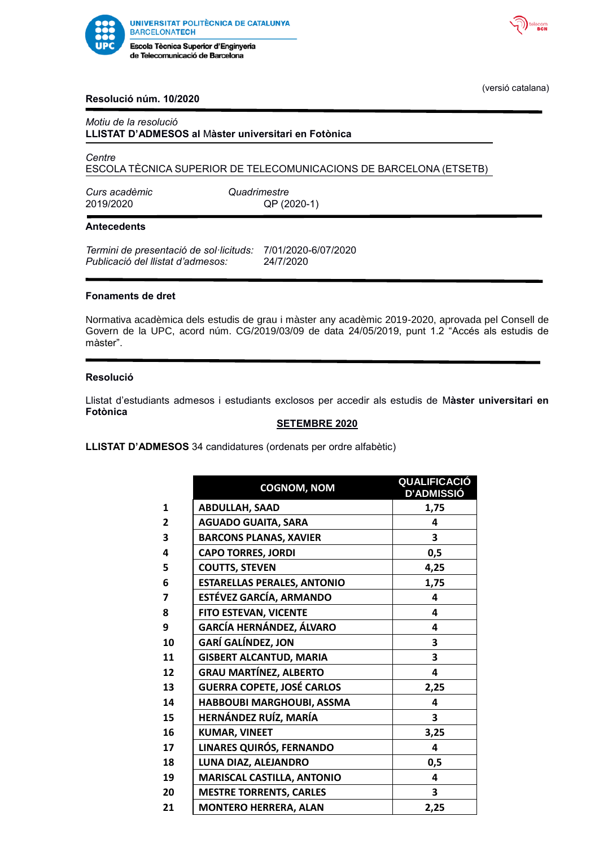



(versió catalana)

## **Resolució núm. 10/2020**

### *Motiu de la resolució* **LLISTAT D'ADMESOS al** M**àster universitari en Fotònica**

*Centre*

ESCOLA TÈCNICA SUPERIOR DE TELECOMUNICACIONS DE BARCELONA (ETSETB)

*Curs acadèmic Quadrimestre*

QP (2020-1)

### **Antecedents**

*Termini de presentació de sol·licituds:* 7/01/2020-6/07/2020 *Publicació del llistat d'admesos:* 24/7/2020

### **Fonaments de dret**

Normativa acadèmica dels estudis de grau i màster any acadèmic 2019-2020, aprovada pel Consell de Govern de la UPC, acord núm. CG/2019/03/09 de data 24/05/2019, punt 1.2 "Accés als estudis de màster".

### **Resolució**

Llistat d'estudiants admesos i estudiants exclosos per accedir als estudis de M**àster universitari en Fotònica**

### **SETEMBRE 2020**

**LLISTAT D'ADMESOS** 34 candidatures (ordenats per ordre alfabètic)

|                | <b>COGNOM, NOM</b>                 | <u>QUALIFICACIÓ</u><br><b>D'ADMISSIÓ</b> |
|----------------|------------------------------------|------------------------------------------|
| $\mathbf{1}$   | <b>ABDULLAH, SAAD</b>              | 1,75                                     |
| $\overline{2}$ | <b>AGUADO GUAITA, SARA</b>         | 4                                        |
| 3              | <b>BARCONS PLANAS, XAVIER</b>      | 3                                        |
| 4              | <b>CAPO TORRES, JORDI</b>          | 0,5                                      |
| 5              | <b>COUTTS, STEVEN</b>              | 4,25                                     |
| 6              | <b>ESTARELLAS PERALES, ANTONIO</b> | 1,75                                     |
| $\overline{7}$ | <b>ESTÉVEZ GARCÍA, ARMANDO</b>     | 4                                        |
| 8              | FITO ESTEVAN, VICENTE              | 4                                        |
| 9              | <b>GARCÍA HERNÁNDEZ, ÁLVARO</b>    | 4                                        |
| 10             | <b>GARÍ GALÍNDEZ, JON</b>          | 3                                        |
| 11             | <b>GISBERT ALCANTUD, MARIA</b>     | 3                                        |
| 12             | <b>GRAU MARTÍNEZ, ALBERTO</b>      | 4                                        |
| 13             | <b>GUERRA COPETE, JOSÉ CARLOS</b>  | 2,25                                     |
| 14             | HABBOUBI MARGHOUBI, ASSMA          | 4                                        |
| 15             | HERNÁNDEZ RUÍZ, MARÍA              | 3                                        |
| 16             | <b>KUMAR, VINEET</b>               | 3,25                                     |
| 17             | LINARES QUIRÓS, FERNANDO           | 4                                        |
| 18             | LUNA DIAZ, ALEJANDRO               | 0,5                                      |
| 19             | <b>MARISCAL CASTILLA, ANTONIO</b>  | 4                                        |
| 20             | <b>MESTRE TORRENTS, CARLES</b>     | 3                                        |
| 21             | <b>MONTERO HERRERA, ALAN</b>       | 2,25                                     |